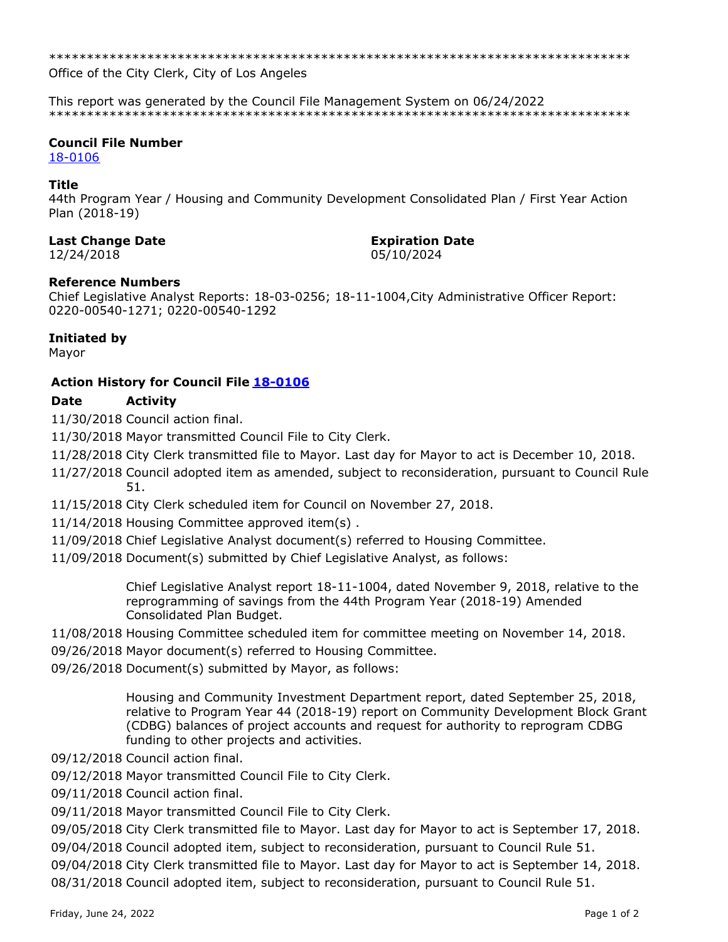\*\*\*\*\*\*\*\*\*\*\*\*\*\*\*\*\*\*\*\*\*\*\*\*\*\*\*\*\*\*\*\*\*\*\*\*\*\*\*\*\*\*\*\*\*\*\*\*\*\*\*\*\*\*\*\*\*\*\*\*\*\*\*\*\*\*\*\*\*\*\*\*\*\*\*\*\*

Office of the City Clerk, City of Los Angeles

This report was generated by the Council File Management System on 06/24/2022 \*\*\*\*\*\*\*\*\*\*\*\*\*\*\*\*\*\*\*\*\*\*\*\*\*\*\*\*\*\*\*\*\*\*\*\*\*\*\*\*\*\*\*\*\*\*\*\*\*\*\*\*\*\*\*\*\*\*\*\*\*\*\*\*\*\*\*\*\*\*\*\*\*\*\*\*\*

#### **Council File Number**

[18-0106](https://cityclerk.lacity.org/lacityclerkconnect/index.cfm?fa=ccfi.viewrecord&cfnumber=18-0106)

#### **Title**

44th Program Year / Housing and Community Development Consolidated Plan / First Year Action Plan (2018-19)

#### **Last Change Date Expiration Date**

12/24/2018 05/10/2024

# **Reference Numbers**

Chief Legislative Analyst Reports: 18-03-0256; 18-11-1004,City Administrative Officer Report: 0220-00540-1271; 0220-00540-1292

# **Initiated by**

Mayor

# **Action History for Council File [18-0106](https://cityclerk.lacity.org/lacityclerkconnect/index.cfm?fa=ccfi.viewrecord&cfnumber=18-0106)**

# **Date Activity**

11/30/2018 Council action final.

11/30/2018 Mayor transmitted Council File to City Clerk.

- 11/28/2018 City Clerk transmitted file to Mayor. Last day for Mayor to act is December 10, 2018.
- 11/27/2018 Council adopted item as amended, subject to reconsideration, pursuant to Council Rule 51.
- 11/15/2018 City Clerk scheduled item for Council on November 27, 2018.
- 11/14/2018 Housing Committee approved item(s) .
- 11/09/2018 Chief Legislative Analyst document(s) referred to Housing Committee.
- 11/09/2018 Document(s) submitted by Chief Legislative Analyst, as follows:

Chief Legislative Analyst report 18-11-1004, dated November 9, 2018, relative to the reprogramming of savings from the 44th Program Year (2018-19) Amended Consolidated Plan Budget.

- 11/08/2018 Housing Committee scheduled item for committee meeting on November 14, 2018.
- 09/26/2018 Mayor document(s) referred to Housing Committee.
- 09/26/2018 Document(s) submitted by Mayor, as follows:

Housing and Community Investment Department report, dated September 25, 2018, relative to Program Year 44 (2018-19) report on Community Development Block Grant (CDBG) balances of project accounts and request for authority to reprogram CDBG funding to other projects and activities.

- 09/12/2018 Council action final.
- 09/12/2018 Mayor transmitted Council File to City Clerk.
- 09/11/2018 Council action final.
- 09/11/2018 Mayor transmitted Council File to City Clerk.

09/05/2018 City Clerk transmitted file to Mayor. Last day for Mayor to act is September 17, 2018.

09/04/2018 Council adopted item, subject to reconsideration, pursuant to Council Rule 51.

09/04/2018 City Clerk transmitted file to Mayor. Last day for Mayor to act is September 14, 2018. 08/31/2018 Council adopted item, subject to reconsideration, pursuant to Council Rule 51.